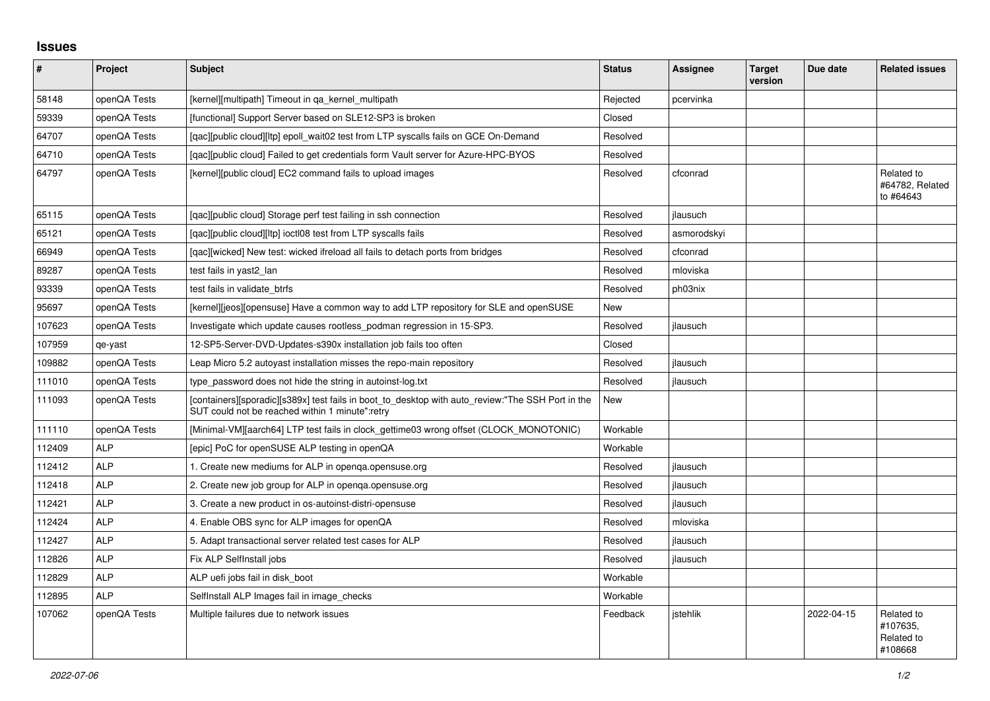## **Issues**

| $\vert$ # | <b>Project</b> | <b>Subject</b>                                                                                                                                       | <b>Status</b> | Assignee    | <b>Target</b><br>version | Due date   | <b>Related issues</b>                           |
|-----------|----------------|------------------------------------------------------------------------------------------------------------------------------------------------------|---------------|-------------|--------------------------|------------|-------------------------------------------------|
| 58148     | openQA Tests   | [kernel][multipath] Timeout in ga kernel multipath                                                                                                   | Rejected      | pcervinka   |                          |            |                                                 |
| 59339     | openQA Tests   | [functional] Support Server based on SLE12-SP3 is broken                                                                                             | Closed        |             |                          |            |                                                 |
| 64707     | openQA Tests   | [qac][public cloud][ltp] epoll_wait02 test from LTP syscalls fails on GCE On-Demand                                                                  | Resolved      |             |                          |            |                                                 |
| 64710     | openQA Tests   | [gac][public cloud] Failed to get credentials form Vault server for Azure-HPC-BYOS                                                                   | Resolved      |             |                          |            |                                                 |
| 64797     | openQA Tests   | [kernel][public cloud] EC2 command fails to upload images                                                                                            | Resolved      | cfconrad    |                          |            | Related to<br>#64782, Related<br>to #64643      |
| 65115     | openQA Tests   | [gac][public cloud] Storage perf test failing in ssh connection                                                                                      | Resolved      | jlausuch    |                          |            |                                                 |
| 65121     | openQA Tests   | [qac][public cloud][ltp] ioctl08 test from LTP syscalls fails                                                                                        | Resolved      | asmorodskyi |                          |            |                                                 |
| 66949     | openQA Tests   | [gac][wicked] New test: wicked ifreload all fails to detach ports from bridges                                                                       | Resolved      | cfconrad    |                          |            |                                                 |
| 89287     | openQA Tests   | test fails in yast2 lan                                                                                                                              | Resolved      | mloviska    |                          |            |                                                 |
| 93339     | openQA Tests   | test fails in validate btrfs                                                                                                                         | Resolved      | ph03nix     |                          |            |                                                 |
| 95697     | openQA Tests   | [kernel][jeos][opensuse] Have a common way to add LTP repository for SLE and openSUSE                                                                | New           |             |                          |            |                                                 |
| 107623    | openQA Tests   | Investigate which update causes rootless podman regression in 15-SP3.                                                                                | Resolved      | jlausuch    |                          |            |                                                 |
| 107959    | qe-yast        | 12-SP5-Server-DVD-Updates-s390x installation job fails too often                                                                                     | Closed        |             |                          |            |                                                 |
| 109882    | openQA Tests   | Leap Micro 5.2 autoyast installation misses the repo-main repository                                                                                 | Resolved      | jlausuch    |                          |            |                                                 |
| 111010    | openQA Tests   | type_password does not hide the string in autoinst-log.txt                                                                                           | Resolved      | ilausuch    |                          |            |                                                 |
| 111093    | openQA Tests   | [containers][sporadic][s389x] test fails in boot_to_desktop with auto_review:"The SSH Port in the<br>SUT could not be reached within 1 minute":retry | <b>New</b>    |             |                          |            |                                                 |
| 111110    | openQA Tests   | [Minimal-VM][aarch64] LTP test fails in clock_gettime03 wrong offset (CLOCK_MONOTONIC)                                                               | Workable      |             |                          |            |                                                 |
| 112409    | <b>ALP</b>     | [epic] PoC for openSUSE ALP testing in openQA                                                                                                        | Workable      |             |                          |            |                                                 |
| 112412    | <b>ALP</b>     | 1. Create new mediums for ALP in openga.opensuse.org                                                                                                 | Resolved      | jlausuch    |                          |            |                                                 |
| 112418    | <b>ALP</b>     | 2. Create new job group for ALP in openga.opensuse.org                                                                                               | Resolved      | jlausuch    |                          |            |                                                 |
| 112421    | <b>ALP</b>     | 3. Create a new product in os-autoinst-distri-opensuse                                                                                               | Resolved      | jlausuch    |                          |            |                                                 |
| 112424    | <b>ALP</b>     | 4. Enable OBS sync for ALP images for openQA                                                                                                         | Resolved      | mloviska    |                          |            |                                                 |
| 112427    | <b>ALP</b>     | 5. Adapt transactional server related test cases for ALP                                                                                             | Resolved      | ilausuch    |                          |            |                                                 |
| 112826    | <b>ALP</b>     | Fix ALP SelfInstall jobs                                                                                                                             | Resolved      | jlausuch    |                          |            |                                                 |
| 112829    | <b>ALP</b>     | ALP uefi jobs fail in disk_boot                                                                                                                      | Workable      |             |                          |            |                                                 |
| 112895    | <b>ALP</b>     | SelfInstall ALP Images fail in image_checks                                                                                                          | Workable      |             |                          |            |                                                 |
| 107062    | openQA Tests   | Multiple failures due to network issues                                                                                                              | Feedback      | istehlik    |                          | 2022-04-15 | Related to<br>#107635,<br>Related to<br>#108668 |